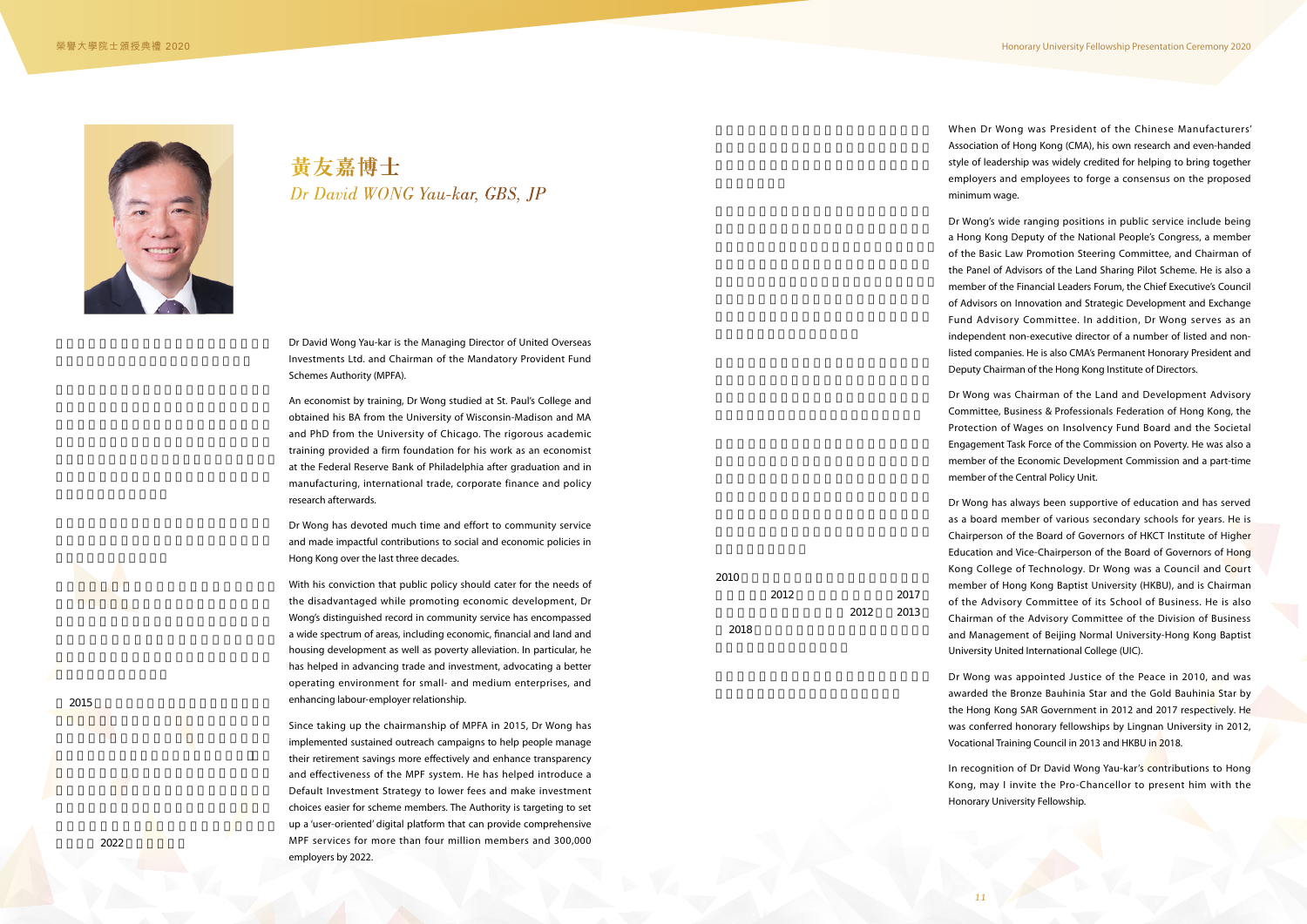

## *Dr David WONG Yau-kar, GBS, JP* **黃友嘉博士**

Dr David Wong Yau-kar is the Managing Director of United Overseas Investments Ltd. and Chairman of the Mandatory Provident Fund Schemes Authority (MPFA).

An economist by training, Dr Wong studied at St. Paul's College and obtained his BA from the University of Wisconsin-Madison and MA and PhD from the University of Chicago. The rigorous academic training provided a firm foundation for his work as an economist at the Federal Reserve Bank of Philadelphia after graduation and in manufacturing, international trade, corporate finance and policy research afterwards.

Dr Wong has devoted much time and effort to community service and made impactful contributions to social and economic policies in Hong Kong over the last three decades.

With his conviction that public policy should cater for the needs of the disadvantaged while promoting economic development, Dr Wong's distinguished record in community service has encompassed a wide spectrum of areas, including economic, financial and land and housing development as well as poverty alleviation. In particular, he has helped in advancing trade and investment, advocating a better operating environment for small- and medium enterprises, and enhancing labour-employer relationship.

Since taking up the chairmanship of MPFA in 2015, Dr Wong has implemented sustained outreach campaigns to help people manage their retirement savings more effectively and enhance transparency and effectiveness of the MPF system. He has helped introduce a Default Investment Strategy to lower fees and make investment choices easier for scheme members. The Authority is targeting to set up a 'user-oriented' digital platform that can provide comprehensive MPF services for more than four million members and 300,000 employers by 2022.



 $2015$